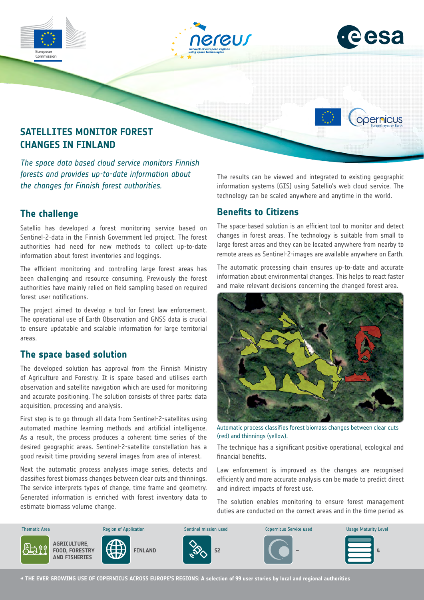





opernicus



*The space data based cloud service monitors Finnish forests and provides up-to-date information about the changes for Finnish forest authorities.*

## **The challenge**

Satellio has developed a forest monitoring service based on Sentinel-2-data in the Finnish Government led project. The forest authorities had need for new methods to collect up-to-date information about forest inventories and loggings.

The efficient monitoring and controlling large forest areas has been challenging and resource consuming. Previously the forest authorities have mainly relied on field sampling based on required forest user notifications.

The project aimed to develop a tool for forest law enforcement. The operational use of Earth Observation and GNSS data is crucial to ensure updatable and scalable information for large territorial areas.

### **The space based solution**

The developed solution has approval from the Finnish Ministry of Agriculture and Forestry. It is space based and utilises earth observation and satellite navigation which are used for monitoring and accurate positioning. The solution consists of three parts: data acquisition, processing and analysis.

First step is to go through all data from Sentinel-2-satellites using automated machine learning methods and artificial intelligence. As a result, the process produces a coherent time series of the desired geographic areas. Sentinel-2-satellite constellation has a good revisit time providing several images from area of interest.

Next the automatic process analyses image series, detects and classifies forest biomass changes between clear cuts and thinnings. The service interprets types of change, time frame and geometry. Generated information is enriched with forest inventory data to estimate biomass volume change.

The results can be viewed and integrated to existing geographic information systems (GIS) using Satellio's web cloud service. The technology can be scaled anywhere and anytime in the world.

### **Benefits to Citizens**

The space-based solution is an efficient tool to monitor and detect changes in forest areas. The technology is suitable from small to large forest areas and they can be located anywhere from nearby to remote areas as Sentinel-2-images are available anywhere on Earth.

The automatic processing chain ensures up-to-date and accurate information about environmental changes. This helps to react faster and make relevant decisions concerning the changed forest area.



Automatic process classifies forest biomass changes between clear cuts (red) and thinnings (yellow).

The technique has a significant positive operational, ecological and financial benefits.

Law enforcement is improved as the changes are recognised efficiently and more accurate analysis can be made to predict direct and indirect impacts of forest use.

The solution enables monitoring to ensure forest management duties are conducted on the correct areas and in the time period as



**→ THE EVER GROWING USE OF COPERNICUS ACROSS EUROPE'S REGIONS: A selection of 99 user stories by local and regional authorities**